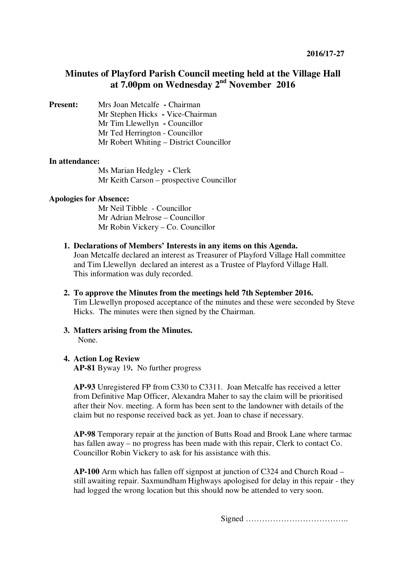# **Minutes of Playford Parish Council meeting held at the Village Hall at 7.00pm on Wednesday 2nd November 2016**

**Present:** Mrs Joan Metcalfe **- Chairman** Mr Stephen Hicks **-** Vice-Chairman Mr Tim Llewellyn **-** Councillor Mr Ted Herrington - Councillor Mr Robert Whiting – District Councillor

## **In attendance:**

Ms Marian Hedgley **-** Clerk Mr Keith Carson – prospective Councillor

## **Apologies for Absence:**

Mr Neil Tibble - Councillor Mr Adrian Melrose – Councillor Mr Robin Vickery – Co. Councillor

**1. Declarations of Members' Interests in any items on this Agenda.** 

Joan Metcalfe declared an interest as Treasurer of Playford Village Hall committee and Tim Llewellyn declared an interest as a Trustee of Playford Village Hall. This information was duly recorded.

- **2. To approve the Minutes from the meetings held 7th September 2016.**  Tim Llewellyn proposed acceptance of the minutes and these were seconded by Steve Hicks. The minutes were then signed by the Chairman.
- **3. Matters arising from the Minutes.**  None.

# **4. Action Log Review**

**AP-81** Byway 19**.** No further progress

**AP-93** Unregistered FP from C330 to C3311. Joan Metcalfe has received a letter from Definitive Map Officer, Alexandra Maher to say the claim will be prioritised after their Nov. meeting. A form has been sent to the landowner with details of the claim but no response received back as yet. Joan to chase if necessary.

**AP-98** Temporary repair at the junction of Butts Road and Brook Lane where tarmac has fallen away – no progress has been made with this repair, Clerk to contact Co. Councillor Robin Vickery to ask for his assistance with this.

**AP-100** Arm which has fallen off signpost at junction of C324 and Church Road – still awaiting repair. Saxmundham Highways apologised for delay in this repair - they had logged the wrong location but this should now be attended to very soon.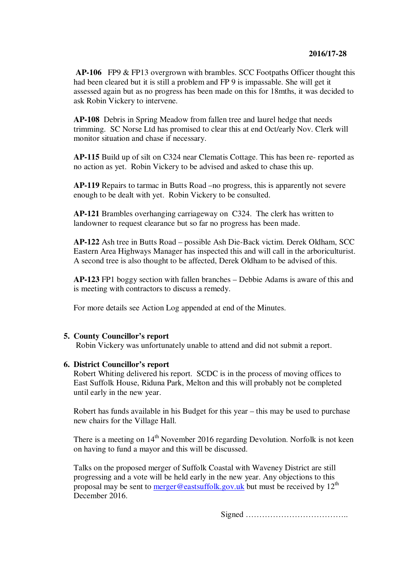**AP-106** FP9 & FP13 overgrown with brambles. SCC Footpaths Officer thought this had been cleared but it is still a problem and FP 9 is impassable. She will get it assessed again but as no progress has been made on this for 18mths, it was decided to ask Robin Vickery to intervene.

**AP-108** Debris in Spring Meadow from fallen tree and laurel hedge that needs trimming. SC Norse Ltd has promised to clear this at end Oct/early Nov. Clerk will monitor situation and chase if necessary.

**AP-115** Build up of silt on C324 near Clematis Cottage. This has been re- reported as no action as yet. Robin Vickery to be advised and asked to chase this up.

**AP-119** Repairs to tarmac in Butts Road –no progress, this is apparently not severe enough to be dealt with yet. Robin Vickery to be consulted.

**AP-121** Brambles overhanging carriageway on C324. The clerk has written to landowner to request clearance but so far no progress has been made.

**AP-122** Ash tree in Butts Road – possible Ash Die-Back victim. Derek Oldham, SCC Eastern Area Highways Manager has inspected this and will call in the arboriculturist. A second tree is also thought to be affected, Derek Oldham to be advised of this.

**AP-123** FP1 boggy section with fallen branches – Debbie Adams is aware of this and is meeting with contractors to discuss a remedy.

For more details see Action Log appended at end of the Minutes.

#### **5. County Councillor's report**

Robin Vickery was unfortunately unable to attend and did not submit a report.

#### **6. District Councillor's report**

Robert Whiting delivered his report. SCDC is in the process of moving offices to East Suffolk House, Riduna Park, Melton and this will probably not be completed until early in the new year.

Robert has funds available in his Budget for this year – this may be used to purchase new chairs for the Village Hall.

There is a meeting on  $14<sup>th</sup>$  November 2016 regarding Devolution. Norfolk is not keen on having to fund a mayor and this will be discussed.

Talks on the proposed merger of Suffolk Coastal with Waveney District are still progressing and a vote will be held early in the new year. Any objections to this proposal may be sent to merger@eastsuffolk.gov.uk but must be received by  $12<sup>th</sup>$ December 2016.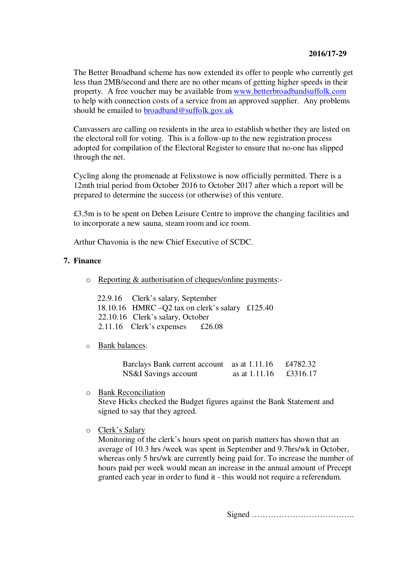The Better Broadband scheme has now extended its offer to people who currently get less than 2MB/second and there are no other means of getting higher speeds in their property. A free voucher may be available from www.betterbroadbandsuffolk.com to help with connection costs of a service from an approved supplier. Any problems should be emailed to broadband@suffolk.gov.uk

Canvassers are calling on residents in the area to establish whether they are listed on the electoral roll for voting. This is a follow-up to the new registration process adopted for compilation of the Electoral Register to ensure that no-one has slipped through the net.

Cycling along the promenade at Felixstowe is now officially permitted. There is a 12mth trial period from October 2016 to October 2017 after which a report will be prepared to determine the success (or otherwise) of this venture.

£3.5m is to be spent on Deben Leisure Centre to improve the changing facilities and to incorporate a new sauna, steam room and ice room.

Arthur Chavonia is the new Chief Executive of SCDC.

## **7. Finance**

o Reporting & authorisation of cheques/online payments:-

| 22.9.16 Clerk's salary, September                 |  |
|---------------------------------------------------|--|
| 18.10.16 HMRC $-Q2$ tax on clerk's salary £125.40 |  |
| 22.10.16 Clerk's salary, October                  |  |
| 2.11.16 Clerk's expenses $\pounds 26.08$          |  |

o Bank balances:

| Barclays Bank current account as at 1.11.16 |               | £4782.32 |
|---------------------------------------------|---------------|----------|
| NS&I Savings account                        | as at 1.11.16 | £3316.17 |

o Bank Reconciliation

Steve Hicks checked the Budget figures against the Bank Statement and signed to say that they agreed.

o Clerk's Salary

Monitoring of the clerk's hours spent on parish matters has shown that an average of 10.3 hrs /week was spent in September and 9.7hrs/wk in October, whereas only 5 hrs/wk are currently being paid for. To increase the number of hours paid per week would mean an increase in the annual amount of Precept granted each year in order to fund it - this would not require a referendum.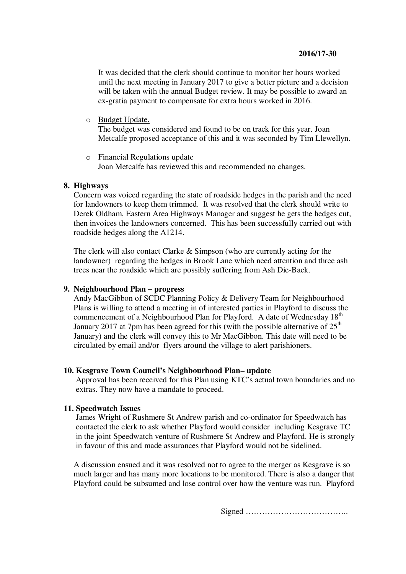# **2016/17-30**

It was decided that the clerk should continue to monitor her hours worked until the next meeting in January 2017 to give a better picture and a decision will be taken with the annual Budget review. It may be possible to award an ex-gratia payment to compensate for extra hours worked in 2016.

o Budget Update.

The budget was considered and found to be on track for this year. Joan Metcalfe proposed acceptance of this and it was seconded by Tim Llewellyn.

o Financial Regulations update Joan Metcalfe has reviewed this and recommended no changes.

#### **8. Highways**

Concern was voiced regarding the state of roadside hedges in the parish and the need for landowners to keep them trimmed. It was resolved that the clerk should write to Derek Oldham, Eastern Area Highways Manager and suggest he gets the hedges cut, then invoices the landowners concerned. This has been successfully carried out with roadside hedges along the A1214.

The clerk will also contact Clarke & Simpson (who are currently acting for the landowner) regarding the hedges in Brook Lane which need attention and three ash trees near the roadside which are possibly suffering from Ash Die-Back.

#### **9. Neighbourhood Plan – progress**

Andy MacGibbon of SCDC Planning Policy & Delivery Team for Neighbourhood Plans is willing to attend a meeting in of interested parties in Playford to discuss the commencement of a Neighbourhood Plan for Playford. A date of Wednesday 18<sup>th</sup> January 2017 at 7pm has been agreed for this (with the possible alternative of  $25<sup>th</sup>$ January) and the clerk will convey this to Mr MacGibbon. This date will need to be circulated by email and/or flyers around the village to alert parishioners.

## **10. Kesgrave Town Council's Neighbourhood Plan– update**

Approval has been received for this Plan using KTC's actual town boundaries and no extras. They now have a mandate to proceed.

## **11. Speedwatch Issues**

James Wright of Rushmere St Andrew parish and co-ordinator for Speedwatch has contacted the clerk to ask whether Playford would consider including Kesgrave TC in the joint Speedwatch venture of Rushmere St Andrew and Playford. He is strongly in favour of this and made assurances that Playford would not be sidelined.

A discussion ensued and it was resolved not to agree to the merger as Kesgrave is so much larger and has many more locations to be monitored. There is also a danger that Playford could be subsumed and lose control over how the venture was run. Playford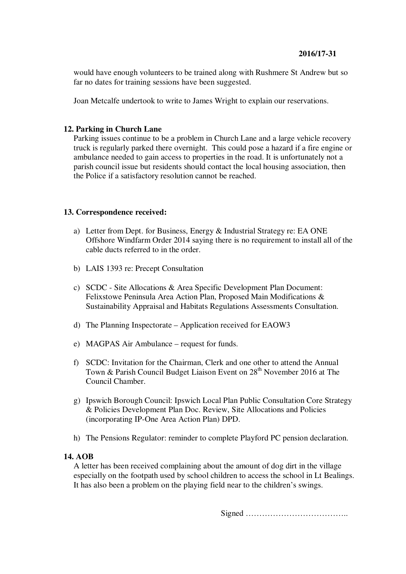would have enough volunteers to be trained along with Rushmere St Andrew but so far no dates for training sessions have been suggested.

Joan Metcalfe undertook to write to James Wright to explain our reservations.

# **12. Parking in Church Lane**

Parking issues continue to be a problem in Church Lane and a large vehicle recovery truck is regularly parked there overnight. This could pose a hazard if a fire engine or ambulance needed to gain access to properties in the road. It is unfortunately not a parish council issue but residents should contact the local housing association, then the Police if a satisfactory resolution cannot be reached.

# **13. Correspondence received:**

- a) Letter from Dept. for Business, Energy & Industrial Strategy re: EA ONE Offshore Windfarm Order 2014 saying there is no requirement to install all of the cable ducts referred to in the order.
- b) LAIS 1393 re: Precept Consultation
- c) SCDC Site Allocations & Area Specific Development Plan Document: Felixstowe Peninsula Area Action Plan, Proposed Main Modifications & Sustainability Appraisal and Habitats Regulations Assessments Consultation.
- d) The Planning Inspectorate Application received for EAOW3
- e) MAGPAS Air Ambulance request for funds.
- f) SCDC: Invitation for the Chairman, Clerk and one other to attend the Annual Town & Parish Council Budget Liaison Event on 28<sup>th</sup> November 2016 at The Council Chamber.
- g) Ipswich Borough Council: Ipswich Local Plan Public Consultation Core Strategy & Policies Development Plan Doc. Review, Site Allocations and Policies (incorporating IP-One Area Action Plan) DPD.
- h) The Pensions Regulator: reminder to complete Playford PC pension declaration.

# **14. AOB**

A letter has been received complaining about the amount of dog dirt in the village especially on the footpath used by school children to access the school in Lt Bealings. It has also been a problem on the playing field near to the children's swings.